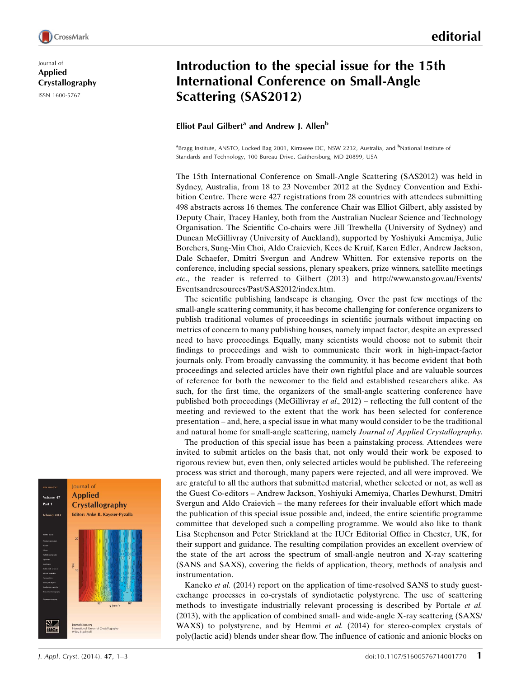

Journal of Applied Crystallography ISSN 1600-5767

## Introduction to the special issue for the 15th International Conference on Small-Angle Scattering (SAS2012)

## Elliot Paul Gilbert<sup>a</sup> and Andrew I. Allen<sup>b</sup>

<sup>a</sup>Bragg Institute, ANSTO, Locked Bag 2001, Kirrawee DC, NSW 2232, Australia, and <sup>b</sup>National Institute of Standards and Technology, 100 Bureau Drive, Gaithersburg, MD 20899, USA

The 15th International Conference on Small-Angle Scattering (SAS2012) was held in Sydney, Australia, from 18 to 23 November 2012 at the Sydney Convention and Exhibition Centre. There were 427 registrations from 28 countries with attendees submitting 498 abstracts across 16 themes. The conference Chair was Elliot Gilbert, ably assisted by Deputy Chair, Tracey Hanley, both from the Australian Nuclear Science and Technology Organisation. The Scientific Co-chairs were Jill Trewhella (University of Sydney) and Duncan McGillivray (University of Auckland), supported by Yoshiyuki Amemiya, Julie Borchers, Sung-Min Choi, Aldo Craievich, Kees de Kruif, Karen Edler, Andrew Jackson, Dale Schaefer, Dmitri Svergun and Andrew Whitten. For extensive reports on the conference, including special sessions, plenary speakers, prize winners, satellite meetings etc., the reader is referred to Gilbert (2013) and http://www.ansto.gov.au/Events/ Eventsandresources/Past/SAS2012/index.htm.

The scientific publishing landscape is changing. Over the past few meetings of the small-angle scattering community, it has become challenging for conference organizers to publish traditional volumes of proceedings in scientific journals without impacting on metrics of concern to many publishing houses, namely impact factor, despite an expressed need to have proceedings. Equally, many scientists would choose not to submit their findings to proceedings and wish to communicate their work in high-impact-factor journals only. From broadly canvassing the community, it has become evident that both proceedings and selected articles have their own rightful place and are valuable sources of reference for both the newcomer to the field and established researchers alike. As such, for the first time, the organizers of the small-angle scattering conference have published both proceedings (McGillivray *et al.*, 2012) – reflecting the full content of the meeting and reviewed to the extent that the work has been selected for conference presentation – and, here, a special issue in what many would consider to be the traditional and natural home for small-angle scattering, namely Journal of Applied Crystallography.

The production of this special issue has been a painstaking process. Attendees were invited to submit articles on the basis that, not only would their work be exposed to rigorous review but, even then, only selected articles would be published. The refereeing process was strict and thorough, many papers were rejected, and all were improved. We are grateful to all the authors that submitted material, whether selected or not, as well as the Guest Co-editors – Andrew Jackson, Yoshiyuki Amemiya, Charles Dewhurst, Dmitri Svergun and Aldo Craievich – the many referees for their invaluable effort which made the publication of this special issue possible and, indeed, the entire scientific programme committee that developed such a compelling programme. We would also like to thank Lisa Stephenson and Peter Strickland at the IUCr Editorial Office in Chester, UK, for their support and guidance. The resulting compilation provides an excellent overview of the state of the art across the spectrum of small-angle neutron and X-ray scattering (SANS and SAXS), covering the fields of application, theory, methods of analysis and instrumentation.

Kaneko et al. (2014) report on the application of time-resolved SANS to study guestexchange processes in co-crystals of syndiotactic polystyrene. The use of scattering methods to investigate industrially relevant processing is described by Portale et al. (2013), with the application of combined small- and wide-angle X-ray scattering (SAXS/ WAXS) to polystyrene, and by Hemmi *et al.* (2014) for stereo-complex crystals of poly(lactic acid) blends under shear flow. The influence of cationic and anionic blocks on

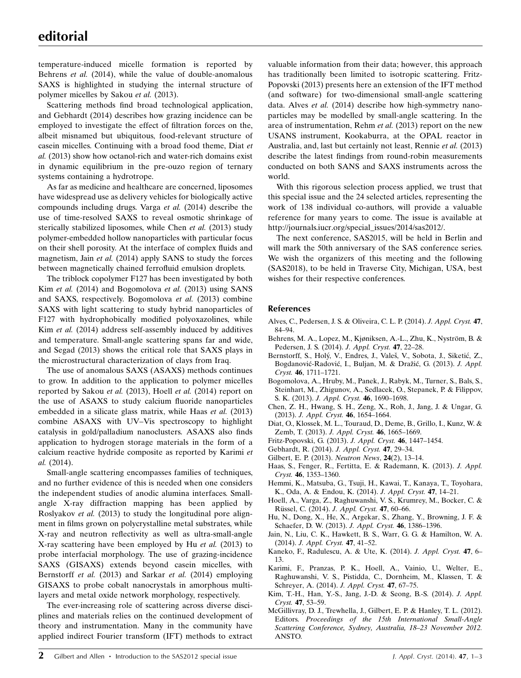## editorial

temperature-induced micelle formation is reported by Behrens et al. (2014), while the value of double-anomalous SAXS is highlighted in studying the internal structure of polymer micelles by Sakou et al. (2013).

Scattering methods find broad technological application, and Gebhardt (2014) describes how grazing incidence can be employed to investigate the effect of filtration forces on the, albeit misnamed but ubiquitous, food-relevant structure of casein micelles. Continuing with a broad food theme, Diat et al. (2013) show how octanol-rich and water-rich domains exist in dynamic equilibrium in the pre-ouzo region of ternary systems containing a hydrotrope.

As far as medicine and healthcare are concerned, liposomes have widespread use as delivery vehicles for biologically active compounds including drugs. Varga et al. (2014) describe the use of time-resolved SAXS to reveal osmotic shrinkage of sterically stabilized liposomes, while Chen et al. (2013) study polymer-embedded hollow nanoparticles with particular focus on their shell porosity. At the interface of complex fluids and magnetism, Jain et al. (2014) apply SANS to study the forces between magnetically chained ferrofluid emulsion droplets.

The triblock copolymer F127 has been investigated by both Kim et al. (2014) and Bogomolova et al. (2013) using SANS and SAXS, respectively. Bogomolova et al. (2013) combine SAXS with light scattering to study hybrid nanoparticles of F127 with hydrophobically modified polyoxazolines, while Kim et al. (2014) address self-assembly induced by additives and temperature. Small-angle scattering spans far and wide, and Segad (2013) shows the critical role that SAXS plays in the microstructural characterization of clays from Iraq.

The use of anomalous SAXS (ASAXS) methods continues to grow. In addition to the application to polymer micelles reported by Sakou et al. (2013), Hoell et al. (2014) report on the use of ASAXS to study calcium fluoride nanoparticles embedded in a silicate glass matrix, while Haas et al. (2013) combine ASAXS with UV–Vis spectroscopy to highlight catalysis in gold/palladium nanoclusters. ASAXS also finds application to hydrogen storage materials in the form of a calcium reactive hydride composite as reported by Karimi et al. (2014).

Small-angle scattering encompasses families of techniques, and no further evidence of this is needed when one considers the independent studies of anodic alumina interfaces. Smallangle X-ray diffraction mapping has been applied by Roslyakov et al. (2013) to study the longitudinal pore alignment in films grown on polycrystalline metal substrates, while X-ray and neutron reflectivity as well as ultra-small-angle X-ray scattering have been employed by Hu et al. (2013) to probe interfacial morphology. The use of grazing-incidence SAXS (GISAXS) extends beyond casein micelles, with Bernstorff et al. (2013) and Sarkar et al. (2014) employing GISAXS to probe cobalt nanocrystals in amorphous multilayers and metal oxide network morphology, respectively.

The ever-increasing role of scattering across diverse disciplines and materials relies on the continued development of theory and instrumentation. Many in the community have applied indirect Fourier transform (IFT) methods to extract valuable information from their data; however, this approach has traditionally been limited to isotropic scattering. Fritz-Popovski (2013) presents here an extension of the IFT method (and software) for two-dimensional small-angle scattering data. Alves et al. (2014) describe how high-symmetry nanoparticles may be modelled by small-angle scattering. In the area of instrumentation, Rehm et al. (2013) report on the new USANS instrument, Kookaburra, at the OPAL reactor in Australia, and, last but certainly not least, Rennie et al. (2013) describe the latest findings from round-robin measurements conducted on both SANS and SAXS instruments across the world.

With this rigorous selection process applied, we trust that this special issue and the 24 selected articles, representing the work of 138 individual co-authors, will provide a valuable reference for many years to come. The issue is available at http://journals.iucr.org/special\_issues/2014/sas2012/.

The next conference, SAS2015, will be held in Berlin and will mark the 50th anniversary of the SAS conference series. We wish the organizers of this meeting and the following (SAS2018), to be held in Traverse City, Michigan, USA, best wishes for their respective conferences.

## References

- [Alves, C., Pedersen, J. S. & Oliveira, C. L. P. \(2014\).](http://scripts.iucr.org/cgi-bin/cr.cgi?rm=pdfbb&cnor=me0538&bbid=BB1) J. Appl. Cryst. 47, [84–94.](http://scripts.iucr.org/cgi-bin/cr.cgi?rm=pdfbb&cnor=me0538&bbid=BB1)
- Behrens, M. A., Lopez, M., Kjøniksen, A.-L., Zhu, K., Nyström, B. & [Pedersen, J. S. \(2014\).](http://scripts.iucr.org/cgi-bin/cr.cgi?rm=pdfbb&cnor=me0538&bbid=BB2) J. Appl. Cryst. 47, 22–28.
- Bernstorff, S., Holý, V., Endres, J., Valeš, V., Sobota, J., Siketić, Z., Bogdanović-Radović, I., Buljan, M. & Dražić, G. (2013). J. Appl. Cryst. 46[, 1711–1721.](http://scripts.iucr.org/cgi-bin/cr.cgi?rm=pdfbb&cnor=me0538&bbid=BB3)
- [Bogomolova, A., Hruby, M., Panek, J., Rabyk, M., Turner, S., Bals, S.,](http://scripts.iucr.org/cgi-bin/cr.cgi?rm=pdfbb&cnor=me0538&bbid=BB4) [Steinhart, M., Zhigunov, A., Sedlacek, O., Stepanek, P. & Filippov,](http://scripts.iucr.org/cgi-bin/cr.cgi?rm=pdfbb&cnor=me0538&bbid=BB4) S. K. (2013). [J. Appl. Cryst.](http://scripts.iucr.org/cgi-bin/cr.cgi?rm=pdfbb&cnor=me0538&bbid=BB4) 46, 1690–1698.
- [Chen, Z. H., Hwang, S. H., Zeng, X., Roh, J., Jang, J. & Ungar, G.](http://scripts.iucr.org/cgi-bin/cr.cgi?rm=pdfbb&cnor=me0538&bbid=BB5) (2013). [J. Appl. Cryst.](http://scripts.iucr.org/cgi-bin/cr.cgi?rm=pdfbb&cnor=me0538&bbid=BB5) 46, 1654–1664.
- [Diat, O., Klossek, M. L., Touraud, D., Deme, B., Grillo, I., Kunz, W. &](http://scripts.iucr.org/cgi-bin/cr.cgi?rm=pdfbb&cnor=me0538&bbid=BB6) [Zemb, T. \(2013\).](http://scripts.iucr.org/cgi-bin/cr.cgi?rm=pdfbb&cnor=me0538&bbid=BB6) J. Appl. Cryst. 46, 1665–1669.
- [Fritz-Popovski, G. \(2013\).](http://scripts.iucr.org/cgi-bin/cr.cgi?rm=pdfbb&cnor=me0538&bbid=BB7) J. Appl. Cryst. 46, 1447–1454.
- [Gebhardt, R. \(2014\).](http://scripts.iucr.org/cgi-bin/cr.cgi?rm=pdfbb&cnor=me0538&bbid=BB8) J. Appl. Cryst. 47, 29–34.
- [Gilbert, E. P. \(2013\).](http://scripts.iucr.org/cgi-bin/cr.cgi?rm=pdfbb&cnor=me0538&bbid=BB9) Neutron News, 24(2), 13–14.
- [Haas, S., Fenger, R., Fertitta, E. & Rademann, K. \(2013\).](http://scripts.iucr.org/cgi-bin/cr.cgi?rm=pdfbb&cnor=me0538&bbid=BB10) J. Appl. Cryst. 46[, 1353–1360.](http://scripts.iucr.org/cgi-bin/cr.cgi?rm=pdfbb&cnor=me0538&bbid=BB10)
- [Hemmi, K., Matsuba, G., Tsuji, H., Kawai, T., Kanaya, T., Toyohara,](http://scripts.iucr.org/cgi-bin/cr.cgi?rm=pdfbb&cnor=me0538&bbid=BB11) [K., Oda, A. & Endou, K. \(2014\).](http://scripts.iucr.org/cgi-bin/cr.cgi?rm=pdfbb&cnor=me0538&bbid=BB11) J. Appl. Cryst. 47, 14–21.
- [Hoell, A., Varga, Z., Raghuwanshi, V. S., Krumrey, M., Bocker, C. &](http://scripts.iucr.org/cgi-bin/cr.cgi?rm=pdfbb&cnor=me0538&bbid=BB12) Rüssel, C. (2014). J. Appl. Cryst. 47, 60-66.
- [Hu, N., Dong, X., He, X., Argekar, S., Zhang, Y., Browning, J. F. &](http://scripts.iucr.org/cgi-bin/cr.cgi?rm=pdfbb&cnor=me0538&bbid=BB13) [Schaefer, D. W. \(2013\).](http://scripts.iucr.org/cgi-bin/cr.cgi?rm=pdfbb&cnor=me0538&bbid=BB13) J. Appl. Cryst. 46, 1386–1396.
- [Jain, N., Liu, C. K., Hawkett, B. S., Warr, G. G. & Hamilton, W. A.](http://scripts.iucr.org/cgi-bin/cr.cgi?rm=pdfbb&cnor=me0538&bbid=BB14) (2014). [J. Appl. Cryst.](http://scripts.iucr.org/cgi-bin/cr.cgi?rm=pdfbb&cnor=me0538&bbid=BB14) 47, 41–52.
- [Kaneko, F., Radulescu, A. & Ute, K. \(2014\).](http://scripts.iucr.org/cgi-bin/cr.cgi?rm=pdfbb&cnor=me0538&bbid=BB15) J. Appl. Cryst. 47, 6– [13.](http://scripts.iucr.org/cgi-bin/cr.cgi?rm=pdfbb&cnor=me0538&bbid=BB15)
- [Karimi, F., Pranzas, P. K., Hoell, A., Vainio, U., Welter, E.,](http://scripts.iucr.org/cgi-bin/cr.cgi?rm=pdfbb&cnor=me0538&bbid=BB16) [Raghuwanshi, V. S., Pistidda, C., Dornheim, M., Klassen, T. &](http://scripts.iucr.org/cgi-bin/cr.cgi?rm=pdfbb&cnor=me0538&bbid=BB16) [Schreyer, A. \(2014\).](http://scripts.iucr.org/cgi-bin/cr.cgi?rm=pdfbb&cnor=me0538&bbid=BB16) J. Appl. Cryst. 47, 67–75.
- [Kim, T.-H., Han, Y.-S., Jang, J.-D. & Seong, B.-S. \(2014\).](http://scripts.iucr.org/cgi-bin/cr.cgi?rm=pdfbb&cnor=me0538&bbid=BB17) J. Appl. Cryst. 47[, 53–59.](http://scripts.iucr.org/cgi-bin/cr.cgi?rm=pdfbb&cnor=me0538&bbid=BB17)
- [McGillivray, D. J., Trewhella, J., Gilbert, E. P. & Hanley, T. L. \(2012\).](http://scripts.iucr.org/cgi-bin/cr.cgi?rm=pdfbb&cnor=me0538&bbid=BB18) Editors. [Proceedings of the 15th International Small-Angle](http://scripts.iucr.org/cgi-bin/cr.cgi?rm=pdfbb&cnor=me0538&bbid=BB18) [Scattering Conference, Sydney, Australia, 18–23 November 2012.](http://scripts.iucr.org/cgi-bin/cr.cgi?rm=pdfbb&cnor=me0538&bbid=BB18) [ANSTO.](http://scripts.iucr.org/cgi-bin/cr.cgi?rm=pdfbb&cnor=me0538&bbid=BB18)